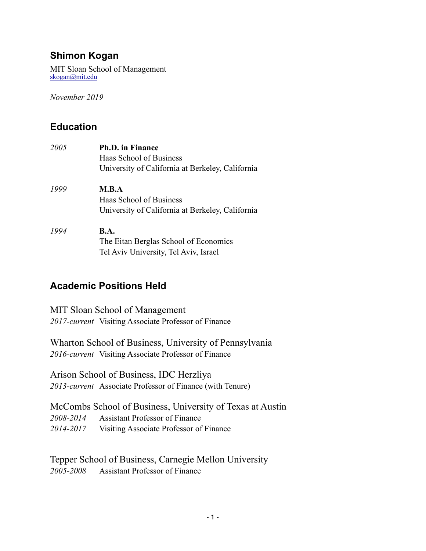# **Shimon Kogan**

MIT Sloan School of Management [skogan@mit.edu](mailto:skogan@mit.edu)

*November 2019* 

# **Education**

| 2005 | <b>Ph.D.</b> in Finance                          |
|------|--------------------------------------------------|
|      | Haas School of Business                          |
|      | University of California at Berkeley, California |
| 1999 | M.B.A                                            |
|      | Haas School of Business                          |
|      | University of California at Berkeley, California |
| 1994 | <b>B.A.</b>                                      |
|      | The Eitan Berglas School of Economics            |
|      | Tel Aviv University, Tel Aviv, Israel            |

## **Academic Positions Held**

MIT Sloan School of Management *2017-current* Visiting Associate Professor of Finance

Wharton School of Business, University of Pennsylvania *2016-current* Visiting Associate Professor of Finance

Arison School of Business, IDC Herzliya *2013-current* Associate Professor of Finance (with Tenure)

McCombs School of Business, University of Texas at Austin *2008-2014* Assistant Professor of Finance *2014-2017* Visiting Associate Professor of Finance

Tepper School of Business, Carnegie Mellon University *2005-2008* Assistant Professor of Finance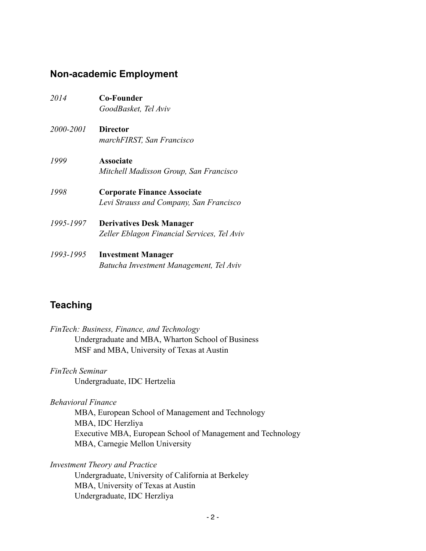### **Non-academic Employment**

- *2014* **Co-Founder**  *GoodBasket, Tel Aviv*
- *2000-2001* **Director**   *marchFIRST, San Francisco*
- *1999* **Associate**   *Mitchell Madisson Group, San Francisco*
- *1998* **Corporate Finance Associate**   *Levi Strauss and Company, San Francisco*
- *1995-1997* **Derivatives Desk Manager**   *Zeller Eblagon Financial Services, Tel Aviv*
- *1993-1995* **Investment Manager**   *Batucha Investment Management, Tel Aviv*

## **Teaching**

| FinTech: Business, Finance, and Technology        |
|---------------------------------------------------|
| Undergraduate and MBA, Wharton School of Business |
| MSF and MBA, University of Texas at Austin        |

*FinTech Seminar*  Undergraduate, IDC Hertzelia

*Behavioral Finance* 

 MBA, European School of Management and Technology MBA, IDC Herzliya Executive MBA, European School of Management and Technology MBA, Carnegie Mellon University

*Investment Theory and Practice* 

Undergraduate, University of California at Berkeley MBA, University of Texas at Austin Undergraduate, IDC Herzliya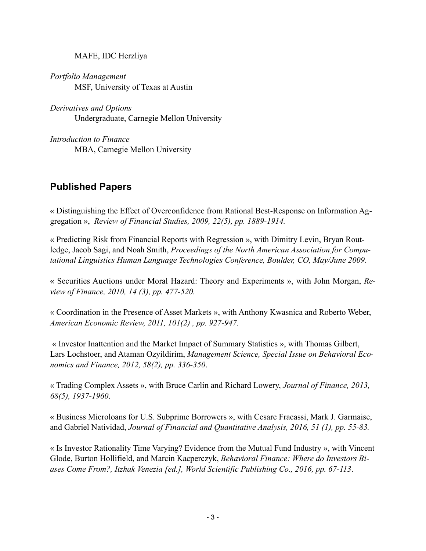MAFE, IDC Herzliya

*Portfolio Management*  MSF, University of Texas at Austin

*Derivatives and Options*  Undergraduate, Carnegie Mellon University

*Introduction to Finance*  MBA, Carnegie Mellon University

# **Published Papers**

« Distinguishing the Effect of Overconfidence from Rational Best-Response on Information Aggregation », *Review of Financial Studies, 2009, 22(5), pp. 1889-1914.*

« Predicting Risk from Financial Reports with Regression », with Dimitry Levin, Bryan Routledge, Jacob Sagi, and Noah Smith, *Proceedings of the North American Association for Computational Linguistics Human Language Technologies Conference, Boulder, CO, May/June 2009*.

« Securities Auctions under Moral Hazard: Theory and Experiments », with John Morgan, *Review of Finance, 2010, 14 (3), pp. 477-520.*

« Coordination in the Presence of Asset Markets », with Anthony Kwasnica and Roberto Weber, *American Economic Review, 2011, 101(2) , pp. 927-947.*

 « Investor Inattention and the Market Impact of Summary Statistics », with Thomas Gilbert, Lars Lochstoer, and Ataman Ozyildirim, *Management Science, Special Issue on Behavioral Economics and Finance, 2012, 58(2), pp. 336-350*.

« Trading Complex Assets », with Bruce Carlin and Richard Lowery, *Journal of Finance, 2013, 68(5), 1937-1960*.

« Business Microloans for U.S. Subprime Borrowers », with Cesare Fracassi, Mark J. Garmaise, and Gabriel Natividad, *Journal of Financial and Quantitative Analysis, 2016, 51 (1), pp. 55-83.*

« Is Investor Rationality Time Varying? Evidence from the Mutual Fund Industry », with Vincent Glode, Burton Hollifield, and Marcin Kacperczyk, *Behavioral Finance: Where do Investors Biases Come From?, Itzhak Venezia [ed.], World Scientific Publishing Co., 2016, pp. 67-113*.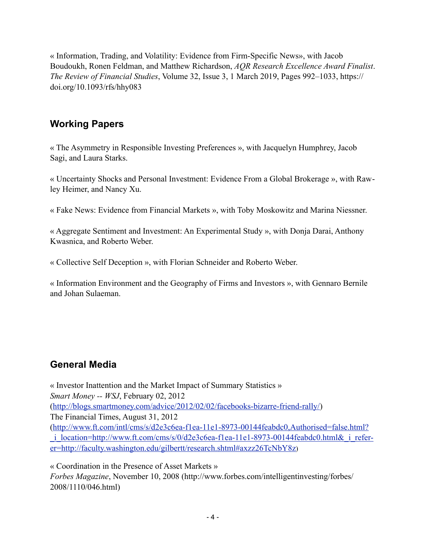« Information, Trading, and Volatility: Evidence from Firm-Specific News», with Jacob Boudoukh, Ronen Feldman, and Matthew Richardson, *AQR Research Excellence Award Finalist*. *The Review of Financial Studies*, Volume 32, Issue 3, 1 March 2019, Pages 992–1033, https:// doi.org/10.1093/rfs/hhy083

# **Working Papers**

« The Asymmetry in Responsible Investing Preferences », with Jacquelyn Humphrey, Jacob Sagi, and Laura Starks.

« Uncertainty Shocks and Personal Investment: Evidence From a Global Brokerage », with Rawley Heimer, and Nancy Xu.

« Fake News: Evidence from Financial Markets », with Toby Moskowitz and Marina Niessner.

« Aggregate Sentiment and Investment: An Experimental Study », with Donja Darai, Anthony Kwasnica, and Roberto Weber.

« Collective Self Deception », with Florian Schneider and Roberto Weber.

« Information Environment and the Geography of Firms and Investors », with Gennaro Bernile and Johan Sulaeman.

# **General Media**

« Investor Inattention and the Market Impact of Summary Statistics » *Smart Money -- WSJ*, February 02, 2012 ([http://blogs.smartmoney.com/advice/2012/02/02/facebooks-bizarre-friend-rally/\)](http://blogs.smartmoney.com/advice/2012/02/02/facebooks-bizarre-friend-rally/) The Financial Times, August 31, 2012 ([http://www.ft.com/intl/cms/s/d2e3c6ea-f1ea-11e1-8973-00144feabdc0,Authorised=false.html?](http://www.ft.com/intl/cms/s/d2e3c6ea-f1ea-11e1-8973-00144feabdc0,Authorised=false.html?_i_location=http%3A%2F%2Fwww.ft.com%2Fcms%2Fs%2F0%2Fd2e3c6ea-f1ea-11e1-8973-00144feabdc0.html&_i_referer=http%3A%2F%2Ffaculty.washington.edu%2Fgilbertt%2Fresearch.shtml#axzz26TcNbY8z) [\\_i\\_location=http://www.ft.com/cms/s/0/d2e3c6ea-f1ea-11e1-8973-00144feabdc0.html&\\_i\\_refer](http://www.ft.com/intl/cms/s/d2e3c6ea-f1ea-11e1-8973-00144feabdc0,Authorised=false.html?_i_location=http%3A%2F%2Fwww.ft.com%2Fcms%2Fs%2F0%2Fd2e3c6ea-f1ea-11e1-8973-00144feabdc0.html&_i_referer=http%3A%2F%2Ffaculty.washington.edu%2Fgilbertt%2Fresearch.shtml#axzz26TcNbY8z)[er=http://faculty.washington.edu/gilbertt/research.shtml#axzz26TcNbY8z](http://www.ft.com/intl/cms/s/d2e3c6ea-f1ea-11e1-8973-00144feabdc0,Authorised=false.html?_i_location=http%3A%2F%2Fwww.ft.com%2Fcms%2Fs%2F0%2Fd2e3c6ea-f1ea-11e1-8973-00144feabdc0.html&_i_referer=http%3A%2F%2Ffaculty.washington.edu%2Fgilbertt%2Fresearch.shtml#axzz26TcNbY8z))

« Coordination in the Presence of Asset Markets » *Forbes Magazine*, November 10, 2008 (http://www.forbes.com/intelligentinvesting/forbes/ 2008/1110/046.html)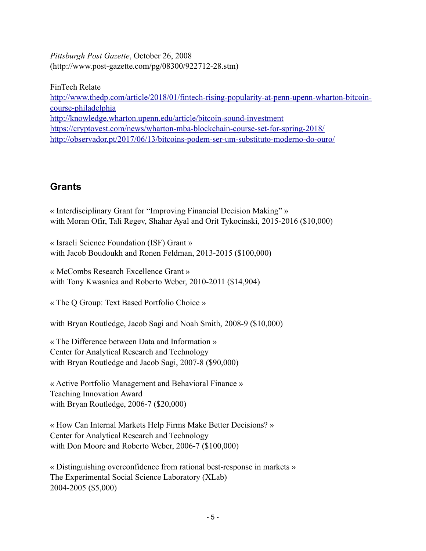*Pittsburgh Post Gazette*, October 26, 2008 (http://www.post-gazette.com/pg/08300/922712-28.stm)

FinTech Relate [http://www.thedp.com/article/2018/01/fintech-rising-popularity-at-penn-upenn-wharton-bitcoin](http://www.thedp.com/article/2018/01/fintech-rising-popularity-at-penn-upenn-wharton-bitcoin-course-philadelphia)[course-philadelphia](http://www.thedp.com/article/2018/01/fintech-rising-popularity-at-penn-upenn-wharton-bitcoin-course-philadelphia) <http://knowledge.wharton.upenn.edu/article/bitcoin-sound-investment> <https://cryptovest.com/news/wharton-mba-blockchain-course-set-for-spring-2018/> <http://observador.pt/2017/06/13/bitcoins-podem-ser-um-substituto-moderno-do-ouro/>

# **Grants**

« Interdisciplinary Grant for "Improving Financial Decision Making" » with Moran Ofir, Tali Regev, Shahar Ayal and Orit Tykocinski, 2015-2016 (\$10,000)

« Israeli Science Foundation (ISF) Grant » with Jacob Boudoukh and Ronen Feldman, 2013-2015 (\$100,000)

« McCombs Research Excellence Grant » with Tony Kwasnica and Roberto Weber, 2010-2011 (\$14,904)

« The Q Group: Text Based Portfolio Choice »

with Bryan Routledge, Jacob Sagi and Noah Smith, 2008-9 (\$10,000)

« The Difference between Data and Information » Center for Analytical Research and Technology with Bryan Routledge and Jacob Sagi, 2007-8 (\$90,000)

« Active Portfolio Management and Behavioral Finance » Teaching Innovation Award with Bryan Routledge, 2006-7 (\$20,000)

« How Can Internal Markets Help Firms Make Better Decisions? » Center for Analytical Research and Technology with Don Moore and Roberto Weber, 2006-7 (\$100,000)

« Distinguishing overconfidence from rational best-response in markets » The Experimental Social Science Laboratory (XLab) 2004-2005 (\$5,000)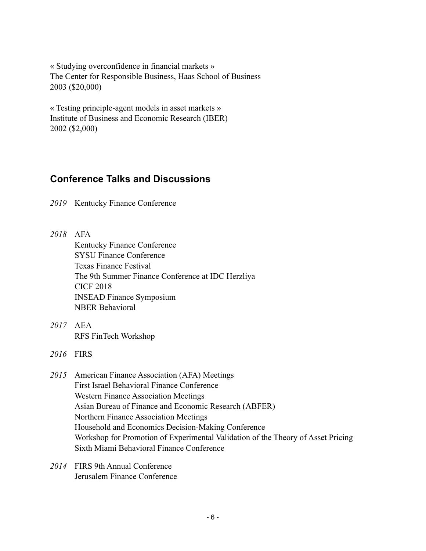« Studying overconfidence in financial markets » The Center for Responsible Business, Haas School of Business 2003 (\$20,000)

« Testing principle-agent models in asset markets » Institute of Business and Economic Research (IBER) 2002 (\$2,000)

### **Conference Talks and Discussions**

*2019* Kentucky Finance Conference

*2018* AFA Kentucky Finance Conference SYSU Finance Conference Texas Finance Festival The 9th Summer Finance Conference at IDC Herzliya CICF 2018 INSEAD Finance Symposium NBER Behavioral

*2017* AEA RFS FinTech Workshop

*2016* FIRS

- *2015* American Finance Association (AFA) Meetings First Israel Behavioral Finance Conference Western Finance Association Meetings Asian Bureau of Finance and Economic Research (ABFER) Northern Finance Association Meetings Household and Economics Decision-Making Conference Workshop for Promotion of Experimental Validation of the Theory of Asset Pricing Sixth Miami Behavioral Finance Conference
- *2014* FIRS 9th Annual Conference Jerusalem Finance Conference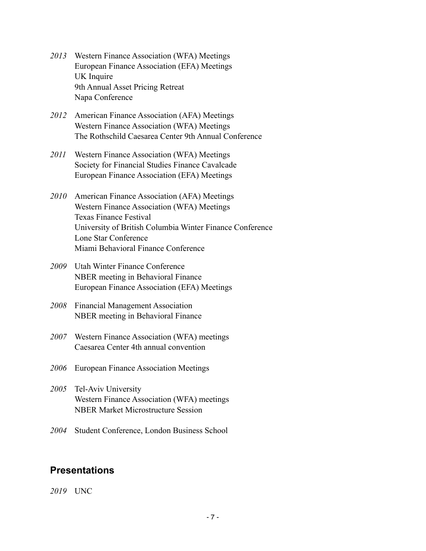- *2013* Western Finance Association (WFA) Meetings European Finance Association (EFA) Meetings UK Inquire 9th Annual Asset Pricing Retreat Napa Conference
- *2012* American Finance Association (AFA) Meetings Western Finance Association (WFA) Meetings The Rothschild Caesarea Center 9th Annual Conference
- *2011* Western Finance Association (WFA) Meetings Society for Financial Studies Finance Cavalcade European Finance Association (EFA) Meetings
- *2010* American Finance Association (AFA) Meetings Western Finance Association (WFA) Meetings Texas Finance Festival University of British Columbia Winter Finance Conference Lone Star Conference Miami Behavioral Finance Conference
- *2009* Utah Winter Finance Conference NBER meeting in Behavioral Finance European Finance Association (EFA) Meetings
- *2008* Financial Management Association NBER meeting in Behavioral Finance
- *2007* Western Finance Association (WFA) meetings Caesarea Center 4th annual convention
- *2006* European Finance Association Meetings
- *2005* Tel-Aviv University Western Finance Association (WFA) meetings NBER Market Microstructure Session
- *2004* Student Conference, London Business School

### **Presentations**

*2019* UNC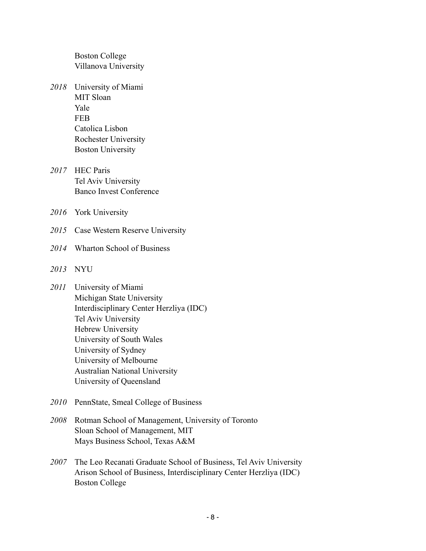Boston College Villanova University

- *2018* University of Miami MIT Sloan Yale FEB Catolica Lisbon Rochester University Boston University
- *2017* HEC Paris Tel Aviv University Banco Invest Conference
- *2016* York University
- *2015* Case Western Reserve University
- *2014* Wharton School of Business
- *2013* NYU
- *2011* University of Miami Michigan State University Interdisciplinary Center Herzliya (IDC) Tel Aviv University Hebrew University University of South Wales University of Sydney University of Melbourne Australian National University University of Queensland
- *2010* PennState, Smeal College of Business
- *2008* Rotman School of Management, University of Toronto Sloan School of Management, MIT Mays Business School, Texas A&M
- *2007* The Leo Recanati Graduate School of Business, Tel Aviv University Arison School of Business, Interdisciplinary Center Herzliya (IDC) Boston College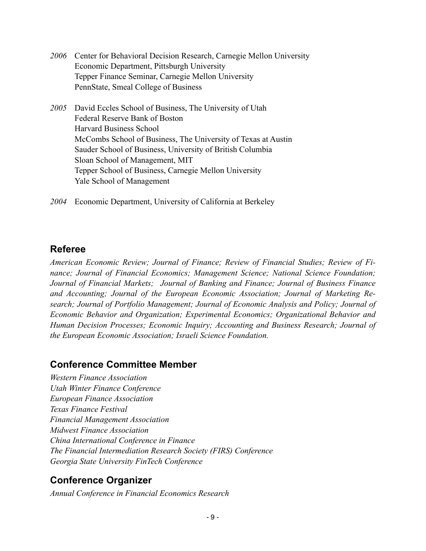| 2006 Center for Behavioral Decision Research, Carnegie Mellon University |
|--------------------------------------------------------------------------|
| Economic Department, Pittsburgh University                               |
| Tepper Finance Seminar, Carnegie Mellon University                       |
| PennState, Smeal College of Business                                     |
| 2005 David Eccles School of Business, The University of Utah             |
| Federal Reserve Bank of Boston                                           |

 Harvard Business School McCombs School of Business, The University of Texas at Austin Sauder School of Business, University of British Columbia Sloan School of Management, MIT Tepper School of Business, Carnegie Mellon University Yale School of Management

*2004* Economic Department, University of California at Berkeley

### **Referee**

*American Economic Review; Journal of Finance; Review of Financial Studies; Review of Finance; Journal of Financial Economics; Management Science; National Science Foundation; Journal of Financial Markets; Journal of Banking and Finance; Journal of Business Finance and Accounting; Journal of the European Economic Association; Journal of Marketing Research; Journal of Portfolio Management; Journal of Economic Analysis and Policy; Journal of Economic Behavior and Organization; Experimental Economics; Organizational Behavior and Human Decision Processes; Economic Inquiry; Accounting and Business Research; Journal of the European Economic Association; Israeli Science Foundation.* 

#### **Conference Committee Member**

*Western Finance Association Utah Winter Finance Conference European Finance Association Texas Finance Festival Financial Management Association Midwest Finance Association China International Conference in Finance The Financial Intermediation Research Society (FIRS) Conference Georgia State University FinTech Conference* 

#### **Conference Organizer**

*Annual Conference in Financial Economics Research*